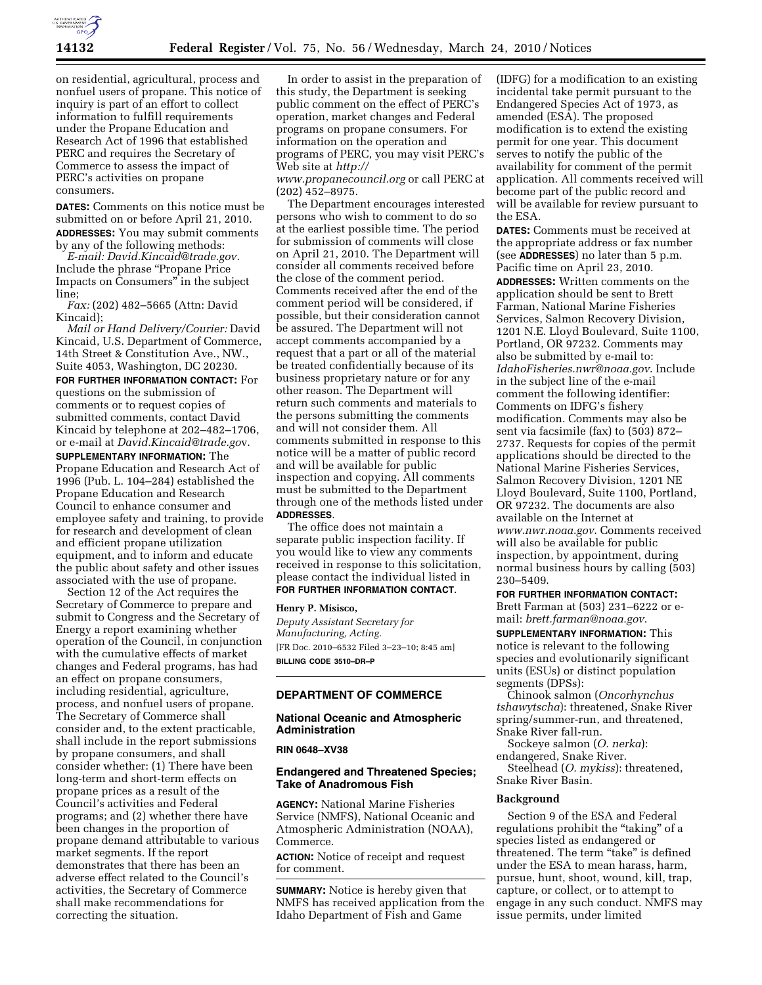

on residential, agricultural, process and nonfuel users of propane. This notice of inquiry is part of an effort to collect information to fulfill requirements under the Propane Education and Research Act of 1996 that established PERC and requires the Secretary of Commerce to assess the impact of PERC's activities on propane consumers.

**DATES:** Comments on this notice must be submitted on or before April 21, 2010. **ADDRESSES:** You may submit comments by any of the following methods:

*E-mail: David.Kincaid@trade.gov.*  Include the phrase ''Propane Price Impacts on Consumers'' in the subject line;

*Fax:* (202) 482–5665 (Attn: David Kincaid);

*Mail or Hand Delivery/Courier:* David Kincaid, U.S. Department of Commerce, 14th Street & Constitution Ave., NW., Suite 4053, Washington, DC 20230.

**FOR FURTHER INFORMATION CONTACT:** For questions on the submission of comments or to request copies of submitted comments, contact David Kincaid by telephone at 202–482–1706, or e-mail at *David.Kincaid@trade.go*v. **SUPPLEMENTARY INFORMATION:** The Propane Education and Research Act of 1996 (Pub. L. 104–284) established the Propane Education and Research Council to enhance consumer and employee safety and training, to provide for research and development of clean and efficient propane utilization equipment, and to inform and educate the public about safety and other issues associated with the use of propane.

Section 12 of the Act requires the Secretary of Commerce to prepare and submit to Congress and the Secretary of Energy a report examining whether operation of the Council, in conjunction with the cumulative effects of market changes and Federal programs, has had an effect on propane consumers, including residential, agriculture, process, and nonfuel users of propane. The Secretary of Commerce shall consider and, to the extent practicable, shall include in the report submissions by propane consumers, and shall consider whether: (1) There have been long-term and short-term effects on propane prices as a result of the Council's activities and Federal programs; and (2) whether there have been changes in the proportion of propane demand attributable to various market segments. If the report demonstrates that there has been an adverse effect related to the Council's activities, the Secretary of Commerce shall make recommendations for correcting the situation.

In order to assist in the preparation of this study, the Department is seeking public comment on the effect of PERC's operation, market changes and Federal programs on propane consumers. For information on the operation and programs of PERC, you may visit PERC's Web site at *http:// www.propanecouncil.org* or call PERC at (202) 452–8975.

The Department encourages interested persons who wish to comment to do so at the earliest possible time. The period for submission of comments will close on April 21, 2010. The Department will consider all comments received before the close of the comment period. Comments received after the end of the comment period will be considered, if possible, but their consideration cannot be assured. The Department will not accept comments accompanied by a request that a part or all of the material be treated confidentially because of its business proprietary nature or for any other reason. The Department will return such comments and materials to the persons submitting the comments and will not consider them. All comments submitted in response to this notice will be a matter of public record and will be available for public inspection and copying. All comments must be submitted to the Department through one of the methods listed under **ADDRESSES**.

The office does not maintain a separate public inspection facility. If you would like to view any comments received in response to this solicitation, please contact the individual listed in **FOR FURTHER INFORMATION CONTACT**.

#### **Henry P. Misisco,**

*Deputy Assistant Secretary for Manufacturing, Acting.*  [FR Doc. 2010–6532 Filed 3–23–10; 8:45 am] **BILLING CODE 3510–DR–P** 

## **DEPARTMENT OF COMMERCE**

## **National Oceanic and Atmospheric Administration**

## **RIN 0648–XV38**

## **Endangered and Threatened Species; Take of Anadromous Fish**

**AGENCY:** National Marine Fisheries Service (NMFS), National Oceanic and Atmospheric Administration (NOAA), Commerce.

**ACTION:** Notice of receipt and request for comment.

**SUMMARY:** Notice is hereby given that NMFS has received application from the Idaho Department of Fish and Game

(IDFG) for a modification to an existing incidental take permit pursuant to the Endangered Species Act of 1973, as amended (ESA). The proposed modification is to extend the existing permit for one year. This document serves to notify the public of the availability for comment of the permit application. All comments received will become part of the public record and will be available for review pursuant to the ESA.

**DATES:** Comments must be received at the appropriate address or fax number (see **ADDRESSES**) no later than 5 p.m. Pacific time on April 23, 2010. **ADDRESSES:** Written comments on the application should be sent to Brett Farman, National Marine Fisheries Services, Salmon Recovery Division, 1201 N.E. Lloyd Boulevard, Suite 1100, Portland, OR 97232. Comments may also be submitted by e-mail to: *IdahoFisheries.nwr@noaa.gov*. Include in the subject line of the e-mail comment the following identifier: Comments on IDFG's fishery modification. Comments may also be sent via facsimile (fax) to (503) 872– 2737. Requests for copies of the permit applications should be directed to the National Marine Fisheries Services, Salmon Recovery Division, 1201 NE Lloyd Boulevard, Suite 1100, Portland, OR 97232. The documents are also available on the Internet at *www.nwr.noaa.gov*. Comments received will also be available for public inspection, by appointment, during normal business hours by calling (503) 230–5409.

#### **FOR FURTHER INFORMATION CONTACT:**

Brett Farman at (503) 231–6222 or email: *brett.farman@noaa.gov*.

**SUPPLEMENTARY INFORMATION:** This notice is relevant to the following species and evolutionarily significant units (ESUs) or distinct population segments (DPSs):

Chinook salmon (*Oncorhynchus tshawytscha*): threatened, Snake River spring/summer-run, and threatened, Snake River fall-run.

Sockeye salmon (*O. nerka*):

endangered, Snake River. Steelhead (*O. mykiss*): threatened,

Snake River Basin.

## **Background**

Section 9 of the ESA and Federal regulations prohibit the "taking" of a species listed as endangered or threatened. The term "take" is defined under the ESA to mean harass, harm, pursue, hunt, shoot, wound, kill, trap, capture, or collect, or to attempt to engage in any such conduct. NMFS may issue permits, under limited